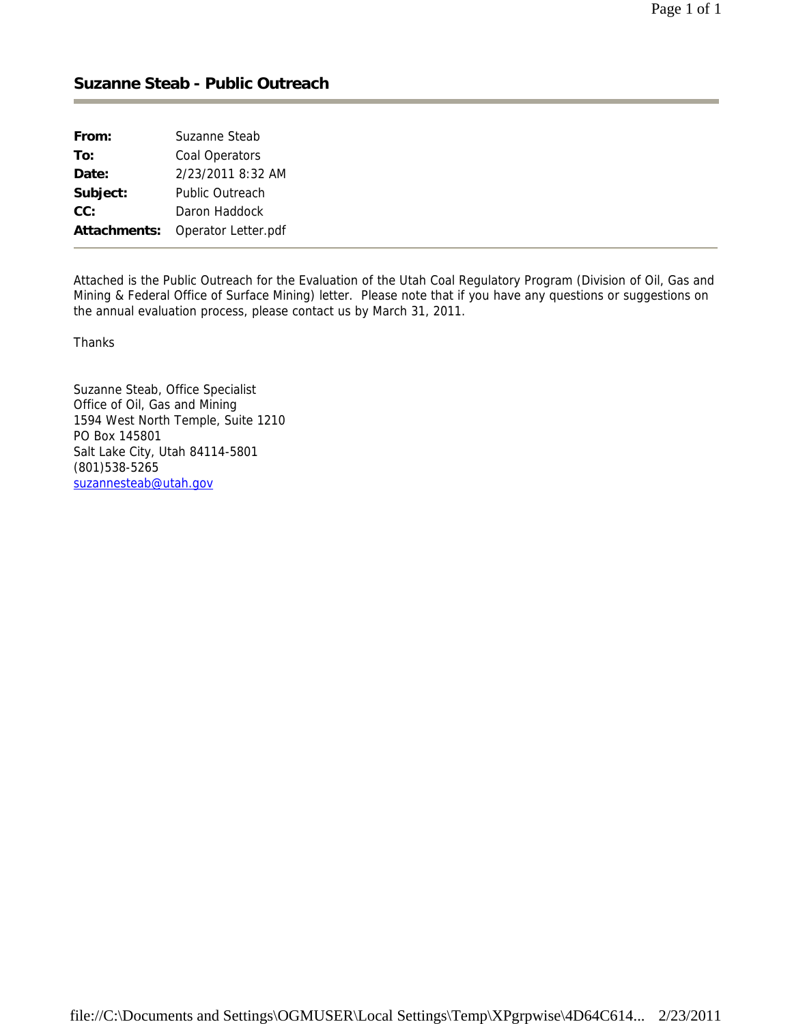## **Suzanne Steab - Public Outreach**

| From:        | Suzanne Steab          |
|--------------|------------------------|
| To:          | Coal Operators         |
| Date:        | 2/23/2011 8:32 AM      |
| Subject:     | <b>Public Outreach</b> |
| CC:          | Daron Haddock          |
| Attachments: | Operator Letter.pdf    |

Attached is the Public Outreach for the Evaluation of the Utah Coal Regulatory Program (Division of Oil, Gas and Mining & Federal Office of Surface Mining) letter. Please note that if you have any questions or suggestions on the annual evaluation process, please contact us by March 31, 2011.

Thanks

Suzanne Steab, Office Specialist Office of Oil, Gas and Mining 1594 West North Temple, Suite 1210 PO Box 145801 Salt Lake City, Utah 84114-5801 (801)538-5265 suzannesteab@utah.gov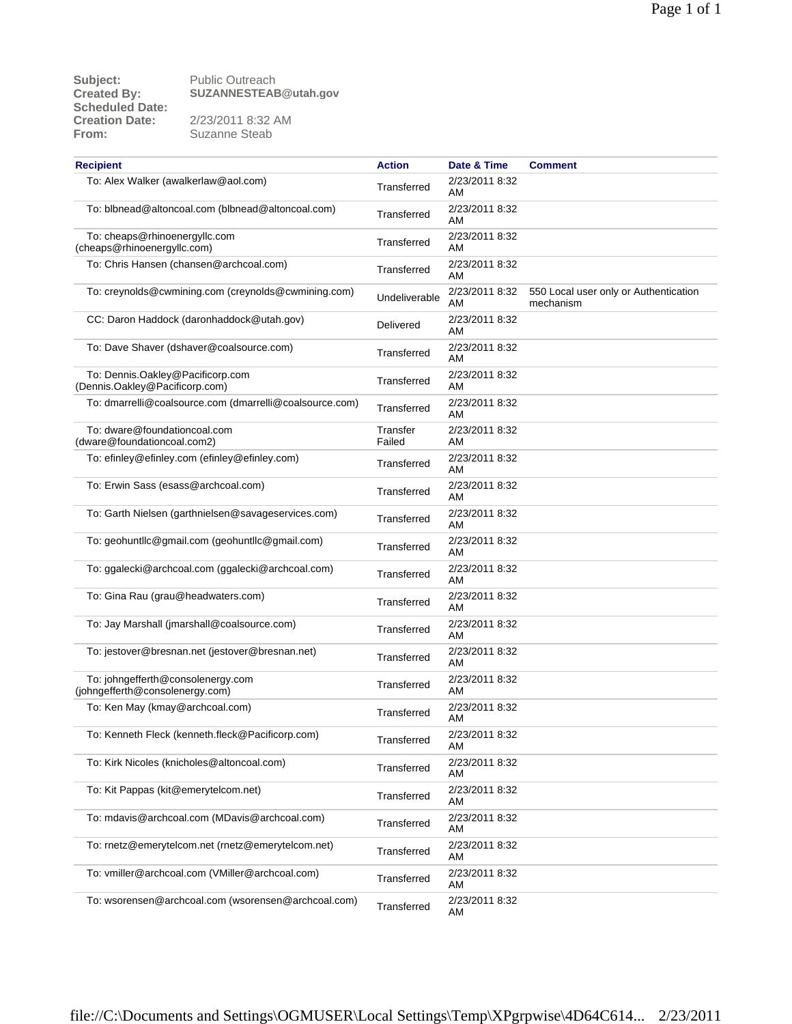| <b>Recipient</b>                                                     | <b>Action</b>      | Date & Time          | <b>Comment</b>                                     |
|----------------------------------------------------------------------|--------------------|----------------------|----------------------------------------------------|
| To: Alex Walker (awalkerlaw@aol.com)                                 | Transferred        | 2/23/2011 8:32<br>AM |                                                    |
| To: blbnead@altoncoal.com (blbnead@altoncoal.com)                    | Transferred        | 2/23/2011 8:32<br>AM |                                                    |
| To: cheaps@rhinoenergyllc.com<br>(cheaps@rhinoenergyllc.com)         | Transferred        | 2/23/2011 8:32<br>AM |                                                    |
| To: Chris Hansen (chansen@archcoal.com)                              | Transferred        | 2/23/2011 8:32<br>AM |                                                    |
| To: creynolds@cwmining.com (creynolds@cwmining.com)                  | Undeliverable      | 2/23/2011 8:32<br>AM | 550 Local user only or Authentication<br>mechanism |
| CC: Daron Haddock (daronhaddock@utah.gov)                            | Delivered          | 2/23/2011 8:32<br>AM |                                                    |
| To: Dave Shaver (dshaver@coalsource.com)                             | Transferred        | 2/23/2011 8:32<br>AM |                                                    |
| To: Dennis.Oakley@Pacificorp.com<br>(Dennis.Oakley@Pacificorp.com)   | Transferred        | 2/23/2011 8:32<br>AM |                                                    |
| To: dmarrelli@coalsource.com (dmarrelli@coalsource.com)              | Transferred        | 2/23/2011 8:32<br>AM |                                                    |
| To: dware@foundationcoal.com<br>(dware@foundationcoal.com2)          | Transfer<br>Failed | 2/23/2011 8:32<br>AM |                                                    |
| To: efinley@efinley.com (efinley@efinley.com)                        | Transferred        | 2/23/2011 8:32<br>AM |                                                    |
| To: Erwin Sass (esass@archcoal.com)                                  | Transferred        | 2/23/2011 8:32<br>AM |                                                    |
| To: Garth Nielsen (garthnielsen@savageservices.com)                  | Transferred        | 2/23/2011 8:32<br>AM |                                                    |
| To: geohuntllc@gmail.com (geohuntllc@gmail.com)                      | Transferred        | 2/23/2011 8:32<br>AM |                                                    |
| To: ggalecki@archcoal.com (ggalecki@archcoal.com)                    | Transferred        | 2/23/2011 8:32<br>AM |                                                    |
| To: Gina Rau (grau@headwaters.com)                                   | Transferred        | 2/23/2011 8:32<br>AM |                                                    |
| To: Jay Marshall (jmarshall@coalsource.com)                          | Transferred        | 2/23/2011 8:32<br>AM |                                                    |
| To: jestover@bresnan.net (jestover@bresnan.net)                      | Transferred        | 2/23/2011 8:32<br>AM |                                                    |
| To: johngefferth@consolenergy.com<br>(johngefferth@consolenergy.com) | Transferred        | 2/23/2011 8:32<br>AM |                                                    |
| To: Ken May (kmay@archcoal.com)                                      | Transferred        | 2/23/2011 8:32<br>AM |                                                    |
| To: Kenneth Fleck (kenneth.fleck@Pacificorp.com)                     | Transferred        | 2/23/2011 8:32<br>AM |                                                    |
| To: Kirk Nicoles (knicholes@altoncoal.com)                           | Transferred        | 2/23/2011 8:32<br>AM |                                                    |
| To: Kit Pappas (kit@emerytelcom.net)                                 | Transferred        | 2/23/2011 8:32<br>AM |                                                    |
| To: mdavis@archcoal.com (MDavis@archcoal.com)                        | Transferred        | 2/23/2011 8:32<br>AM |                                                    |
| To: rnetz@emerytelcom.net (rnetz@emerytelcom.net)                    | Transferred        | 2/23/2011 8:32<br>AM |                                                    |
| To: vmiller@archcoal.com (VMiller@archcoal.com)                      | Transferred        | 2/23/2011 8:32<br>AM |                                                    |
| To: wsorensen@archcoal.com (wsorensen@archcoal.com)                  | Transferred        | 2/23/2011 8:32<br>AM |                                                    |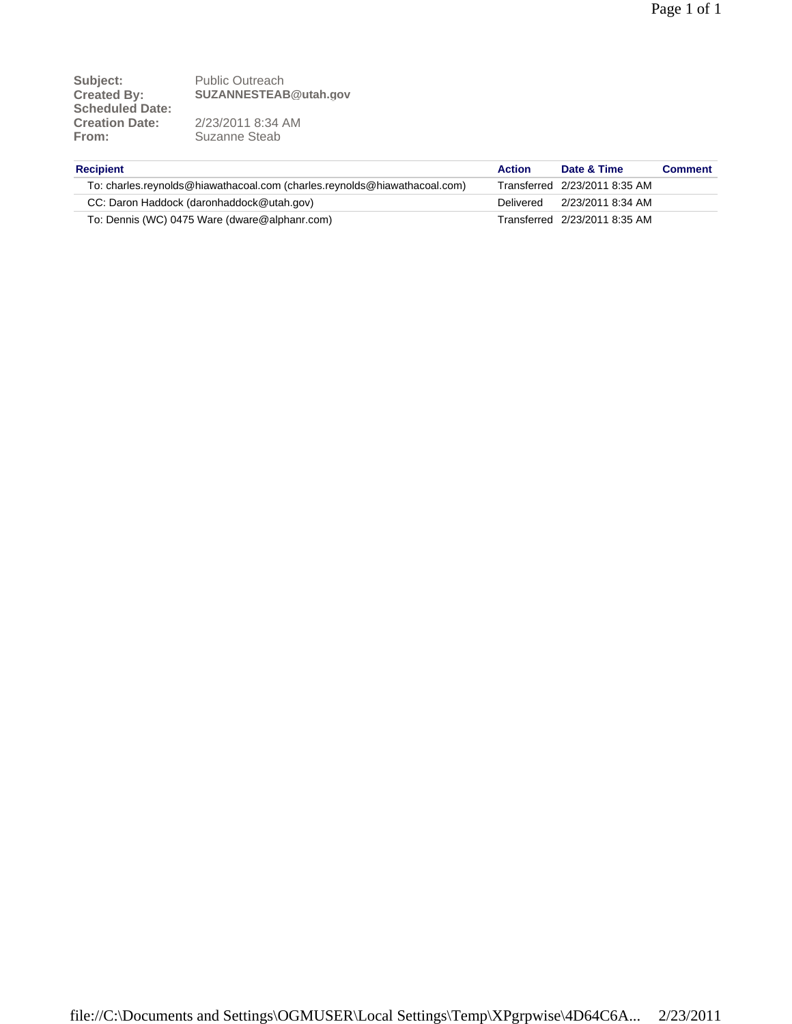| <b>Recipient</b>                                                          | <b>Action</b> | Date & Time                   | <b>Comment</b> |
|---------------------------------------------------------------------------|---------------|-------------------------------|----------------|
| To: charles.reynolds@hiawathacoal.com (charles.reynolds@hiawathacoal.com) |               | Transferred 2/23/2011 8:35 AM |                |
| CC: Daron Haddock (daronhaddock@utah.gov)                                 | Delivered     | 2/23/2011 8:34 AM             |                |
| To: Dennis (WC) 0475 Ware (dware@alphanr.com)                             |               | Transferred 2/23/2011 8:35 AM |                |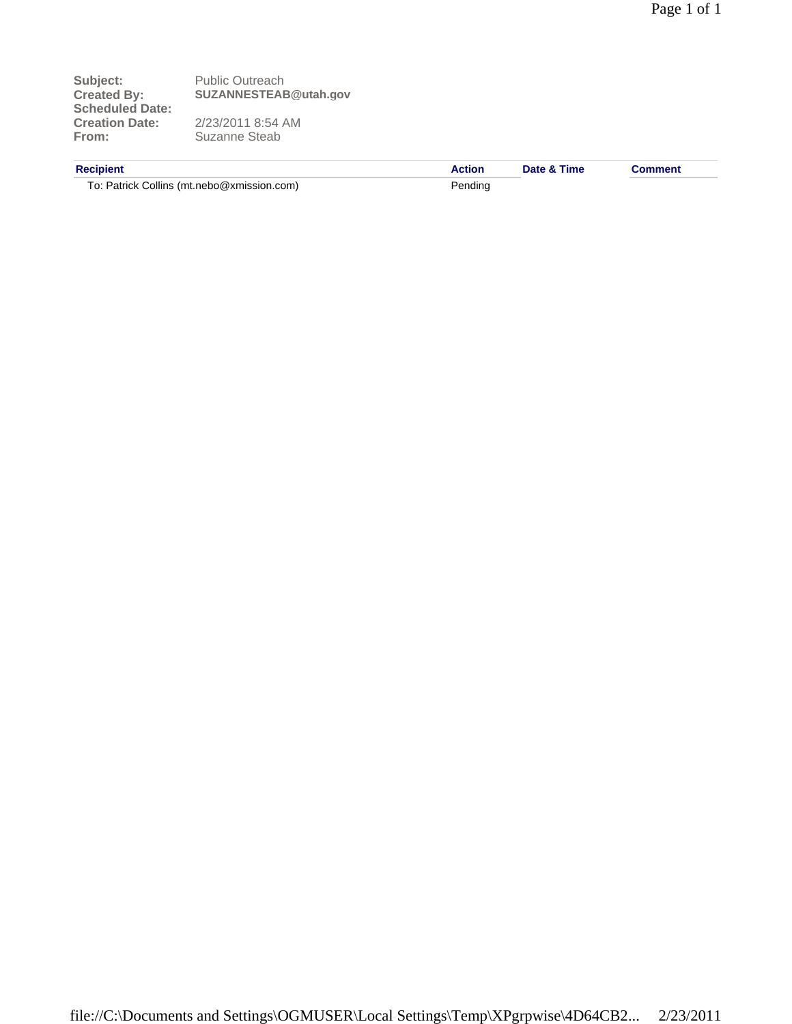Subject:<br>
Created By: Public Outreach<br>
SUZANNESTEAE **Created By: SUZANNESTEAB@utah.gov Scheduled Date: Creation Date:** 2/23/2011 8:54 AM From: Suzanne Steab

To: Patrick Collins (mt.nebo@xmission.com) Pending

**Recipient Action Date & Time Comment**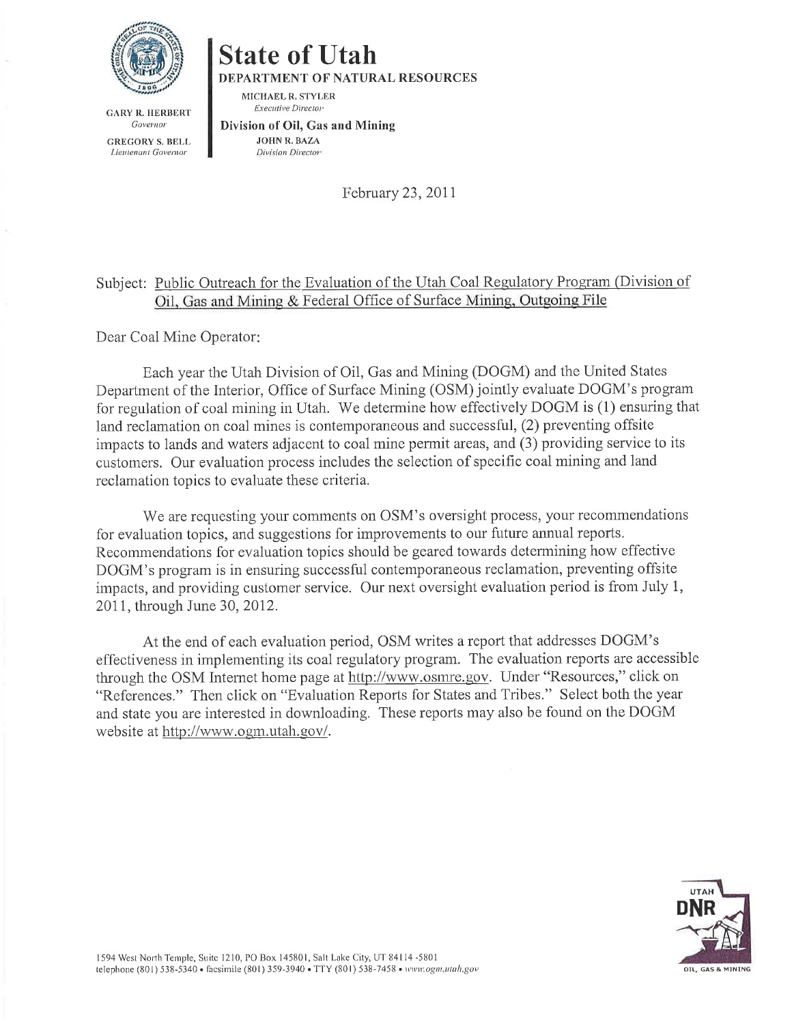

**State of Utah** 

DEPARTMENT OF NATURAL RESOURCES

MICHAEL R. STYLER **Executive Director** 

**GARY R. HERBERT** Governor

**GREGORY S. BELL** Lieutenant Governor

Division of Oil, Gas and Mining **JOHN R. BAZA** Division Director

February 23, 2011

## Subject: Public Outreach for the Evaluation of the Utah Coal Regulatory Program (Division of Oil, Gas and Mining & Federal Office of Surface Mining, Outgoing File

Dear Coal Mine Operator:

Each year the Utah Division of Oil, Gas and Mining (DOGM) and the United States Department of the Interior, Office of Surface Mining (OSM) jointly evaluate DOGM's program for regulation of coal mining in Utah. We determine how effectively DOGM is (1) ensuring that land reclamation on coal mines is contemporaneous and successful, (2) preventing offsite impacts to lands and waters adjacent to coal mine permit areas, and (3) providing service to its customers. Our evaluation process includes the selection of specific coal mining and land reclamation topics to evaluate these criteria.

We are requesting your comments on OSM's oversight process, your recommendations for evaluation topics, and suggestions for improvements to our future annual reports. Recommendations for evaluation topics should be geared towards determining how effective DOGM's program is in ensuring successful contemporaneous reclamation, preventing offsite impacts, and providing customer service. Our next oversight evaluation period is from July 1, 2011, through June 30, 2012.

At the end of each evaluation period, OSM writes a report that addresses DOGM's effectiveness in implementing its coal regulatory program. The evaluation reports are accessible through the OSM Internet home page at http://www.osmre.gov. Under "Resources," click on "References." Then click on "Evaluation Reports for States and Tribes." Select both the year and state you are interested in downloading. These reports may also be found on the DOGM website at http://www.ogm.utah.gov/.